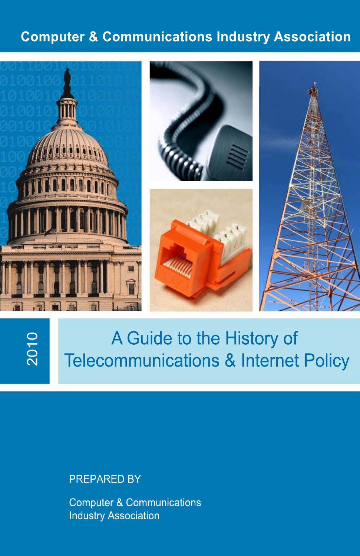### **Computer & Communications Industry Association**





# A Guide to the History of Telecommunications & Internet Policy

### PREPARED BY

Computer & Communications Industry Association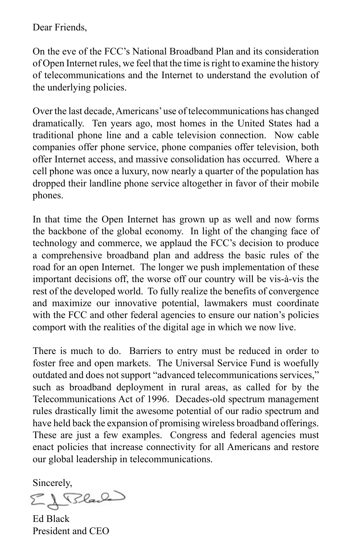Dear Friends,

On the eve of the FCC's National Broadband Plan and its consideration of Open Internet rules, we feel that the time is right to examine the history of telecommunications and the Internet to understand the evolution of the underlying policies.

Over the last decade, Americans' use of telecommunications has changed dramatically. Ten years ago, most homes in the United States had a traditional phone line and a cable television connection. Now cable companies offer phone service, phone companies offer television, both offer Internet access, and massive consolidation has occurred. Where a cell phone was once a luxury, now nearly a quarter of the population has dropped their landline phone service altogether in favor of their mobile phones.

In that time the Open Internet has grown up as well and now forms the backbone of the global economy. In light of the changing face of technology and commerce, we applaud the FCC's decision to produce a comprehensive broadband plan and address the basic rules of the road for an open Internet. The longer we push implementation of these important decisions off, the worse off our country will be vis-à-vis the rest of the developed world. To fully realize the benefits of convergence and maximize our innovative potential, lawmakers must coordinate with the FCC and other federal agencies to ensure our nation's policies comport with the realities of the digital age in which we now live.

There is much to do. Barriers to entry must be reduced in order to foster free and open markets. The Universal Service Fund is woefully outdated and does not support "advanced telecommunications services," such as broadband deployment in rural areas, as called for by the Telecommunications Act of 1996. Decades-old spectrum management rules drastically limit the awesome potential of our radio spectrum and have held back the expansion of promising wireless broadband offerings. These are just a few examples. Congress and federal agencies must enact policies that increase connectivity for all Americans and restore our global leadership in telecommunications.

Sincerely,<br>E<del>X</del> Slave

Ed Black President and CEO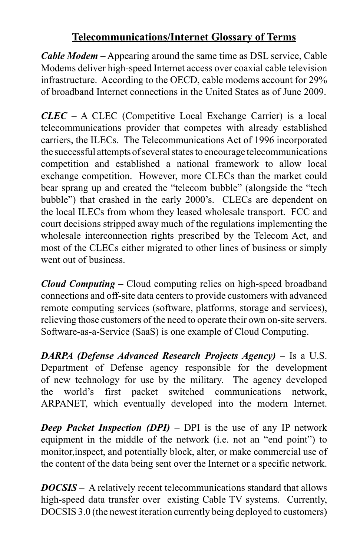#### **Telecommunications/Internet Glossary of Terms**

*Cable Modem* – Appearing around the same time as DSL service, Cable Modems deliver high-speed Internet access over coaxial cable television infrastructure. According to the OECD, cable modems account for 29% of broadband Internet connections in the United States as of June 2009.

*CLEC* – A CLEC (Competitive Local Exchange Carrier) is a local telecommunications provider that competes with already established carriers, the ILECs. The Telecommunications Act of 1996 incorporated the successful attempts of several states to encourage telecommunications competition and established a national framework to allow local exchange competition. However, more CLECs than the market could bear sprang up and created the "telecom bubble" (alongside the "tech bubble") that crashed in the early 2000's. CLECs are dependent on the local ILECs from whom they leased wholesale transport. FCC and court decisions stripped away much of the regulations implementing the wholesale interconnection rights prescribed by the Telecom Act, and most of the CLECs either migrated to other lines of business or simply went out of business.

*Cloud Computing* – Cloud computing relies on high-speed broadband connections and off-site data centers to provide customers with advanced remote computing services (software, platforms, storage and services), relieving those customers of the need to operate their own on-site servers. Software-as-a-Service (SaaS) is one example of Cloud Computing.

*DARPA (Defense Advanced Research Projects Agency)* – Is a U.S. Department of Defense agency responsible for the development of new technology for use by the military. The agency developed the world's first packet switched communications network, ARPANET, which eventually developed into the modern Internet.

*Deep Packet Inspection (DPI)* – DPI is the use of any IP network equipment in the middle of the network (i.e. not an "end point") to monitor,inspect, and potentially block, alter, or make commercial use of the content of the data being sent over the Internet or a specific network.

*DOCSIS* – A relatively recent telecommunications standard that allows high-speed data transfer over existing Cable TV systems. Currently, DOCSIS 3.0 (the newest iteration currently being deployed to customers)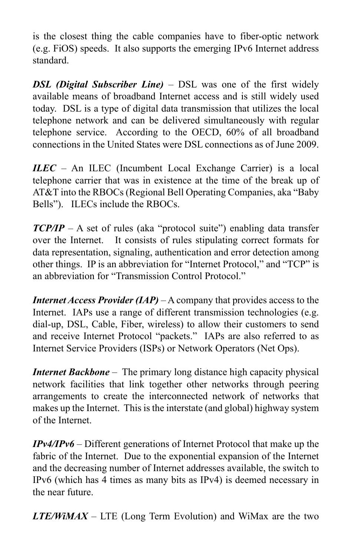is the closest thing the cable companies have to fiber-optic network (e.g. FiOS) speeds. It also supports the emerging IPv6 Internet address standard.

*DSL (Digital Subscriber Line)* – DSL was one of the first widely available means of broadband Internet access and is still widely used today. DSL is a type of digital data transmission that utilizes the local telephone network and can be delivered simultaneously with regular telephone service. According to the OECD, 60% of all broadband connections in the United States were DSL connections as of June 2009.

*ILEC* – An ILEC (Incumbent Local Exchange Carrier) is a local telephone carrier that was in existence at the time of the break up of AT&T into the RBOCs (Regional Bell Operating Companies, aka "Baby Bells"). ILECs include the RBOCs.

*TCP/IP* – A set of rules (aka "protocol suite") enabling data transfer over the Internet. It consists of rules stipulating correct formats for data representation, signaling, authentication and error detection among other things. IP is an abbreviation for "Internet Protocol," and "TCP" is an abbreviation for "Transmission Control Protocol."

*Internet Access Provider (IAP)* – A company that provides access to the Internet. IAPs use a range of different transmission technologies (e.g. dial-up, DSL, Cable, Fiber, wireless) to allow their customers to send and receive Internet Protocol "packets." IAPs are also referred to as Internet Service Providers (ISPs) or Network Operators (Net Ops).

*Internet Backbone* – The primary long distance high capacity physical network facilities that link together other networks through peering arrangements to create the interconnected network of networks that makes up the Internet. This is the interstate (and global) highway system of the Internet.

*IPv4/IPv6* – Different generations of Internet Protocol that make up the fabric of the Internet. Due to the exponential expansion of the Internet and the decreasing number of Internet addresses available, the switch to IPv6 (which has 4 times as many bits as IPv4) is deemed necessary in the near future.

*LTE/WiMAX* – LTE (Long Term Evolution) and WiMax are the two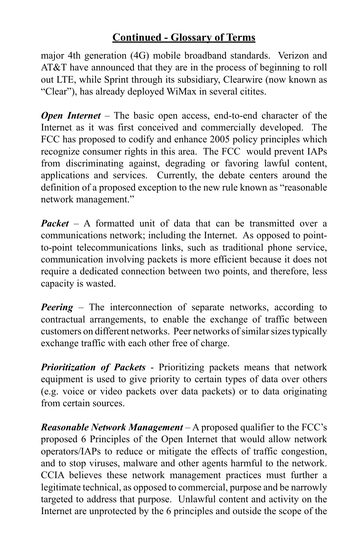#### **Continued - Glossary of Terms**

major 4th generation (4G) mobile broadband standards. Verizon and AT&T have announced that they are in the process of beginning to roll out LTE, while Sprint through its subsidiary, Clearwire (now known as "Clear"), has already deployed WiMax in several citites.

*Open Internet* – The basic open access, end-to-end character of the Internet as it was first conceived and commercially developed. The FCC has proposed to codify and enhance 2005 policy principles which recognize consumer rights in this area. The FCC would prevent IAPs from discriminating against, degrading or favoring lawful content, applications and services. Currently, the debate centers around the definition of a proposed exception to the new rule known as "reasonable network management."

*Packet* – A formatted unit of data that can be transmitted over a communications network; including the Internet. As opposed to pointto-point telecommunications links, such as traditional phone service, communication involving packets is more efficient because it does not require a dedicated connection between two points, and therefore, less capacity is wasted.

*Peering* – The interconnection of separate networks, according to contractual arrangements, to enable the exchange of traffic between customers on different networks. Peer networks of similar sizes typically exchange traffic with each other free of charge.

*Prioritization of Packets* - Prioritizing packets means that network equipment is used to give priority to certain types of data over others (e.g. voice or video packets over data packets) or to data originating from certain sources.

*Reasonable Network Management* – A proposed qualifier to the FCC's proposed 6 Principles of the Open Internet that would allow network operators/IAPs to reduce or mitigate the effects of traffic congestion, and to stop viruses, malware and other agents harmful to the network. CCIA believes these network management practices must further a legitimate technical, as opposed to commercial, purpose and be narrowly targeted to address that purpose. Unlawful content and activity on the Internet are unprotected by the 6 principles and outside the scope of the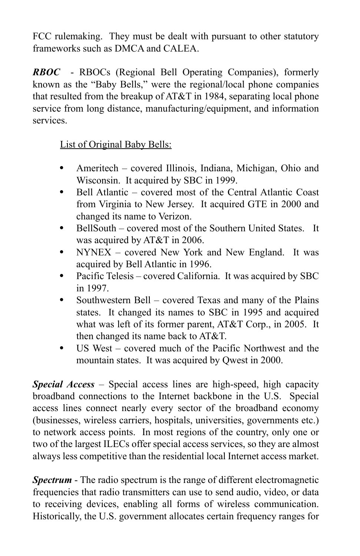FCC rulemaking. They must be dealt with pursuant to other statutory frameworks such as DMCA and CALEA.

*RBOC* - RBOCs (Regional Bell Operating Companies), formerly known as the "Baby Bells," were the regional/local phone companies that resulted from the breakup of AT&T in 1984, separating local phone service from long distance, manufacturing/equipment, and information services.

List of Original Baby Bells:

- Ameritech covered Illinois, Indiana, Michigan, Ohio and Wisconsin. It acquired by SBC in 1999.
- Bell Atlantic covered most of the Central Atlantic Coast from Virginia to New Jersey. It acquired GTE in 2000 and changed its name to Verizon.
- BellSouth covered most of the Southern United States. It was acquired by AT&T in 2006.
- NYNEX covered New York and New England. It was acquired by Bell Atlantic in 1996.
- Pacific Telesis covered California. It was acquired by SBC in 1997.
- Southwestern Bell covered Texas and many of the Plains states. It changed its names to SBC in 1995 and acquired what was left of its former parent, AT&T Corp., in 2005. It then changed its name back to AT&T.
- US West covered much of the Pacific Northwest and the mountain states. It was acquired by Qwest in 2000.

*Special Access* – Special access lines are high-speed, high capacity broadband connections to the Internet backbone in the U.S. Special access lines connect nearly every sector of the broadband economy (businesses, wireless carriers, hospitals, universities, governments etc.) to network access points. In most regions of the country, only one or two of the largest ILECs offer special access services, so they are almost always less competitive than the residential local Internet access market.

*Spectrum* - The radio spectrum is the range of different electromagnetic frequencies that radio transmitters can use to send audio, video, or data to receiving devices, enabling all forms of wireless communication. Historically, the U.S. government allocates certain frequency ranges for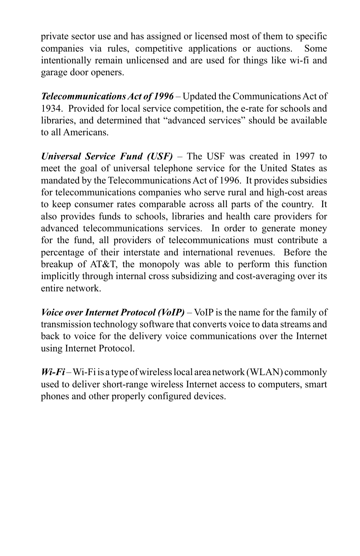private sector use and has assigned or licensed most of them to specific companies via rules, competitive applications or auctions. Some intentionally remain unlicensed and are used for things like wi-fi and garage door openers.

*Telecommunications Act of 1996* – Updated the Communications Act of 1934. Provided for local service competition, the e-rate for schools and libraries, and determined that "advanced services" should be available to all Americans.

*Universal Service Fund (USF)* – The USF was created in 1997 to meet the goal of universal telephone service for the United States as mandated by the Telecommunications Act of 1996. It provides subsidies for telecommunications companies who serve rural and high-cost areas to keep consumer rates comparable across all parts of the country. It also provides funds to schools, libraries and health care providers for advanced telecommunications services. In order to generate money for the fund, all providers of telecommunications must contribute a percentage of their interstate and international revenues. Before the breakup of AT&T, the monopoly was able to perform this function implicitly through internal cross subsidizing and cost-averaging over its entire network.

*Voice over Internet Protocol (VoIP)* – VoIP is the name for the family of transmission technology software that converts voice to data streams and back to voice for the delivery voice communications over the Internet using Internet Protocol.

*Wi-Fi* – Wi-Fi is a type of wireless local area network (WLAN) commonly used to deliver short-range wireless Internet access to computers, smart phones and other properly configured devices.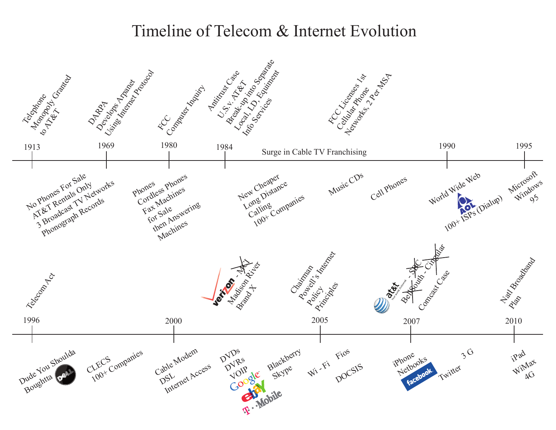## Timeline of Telecom & Internet Evolution